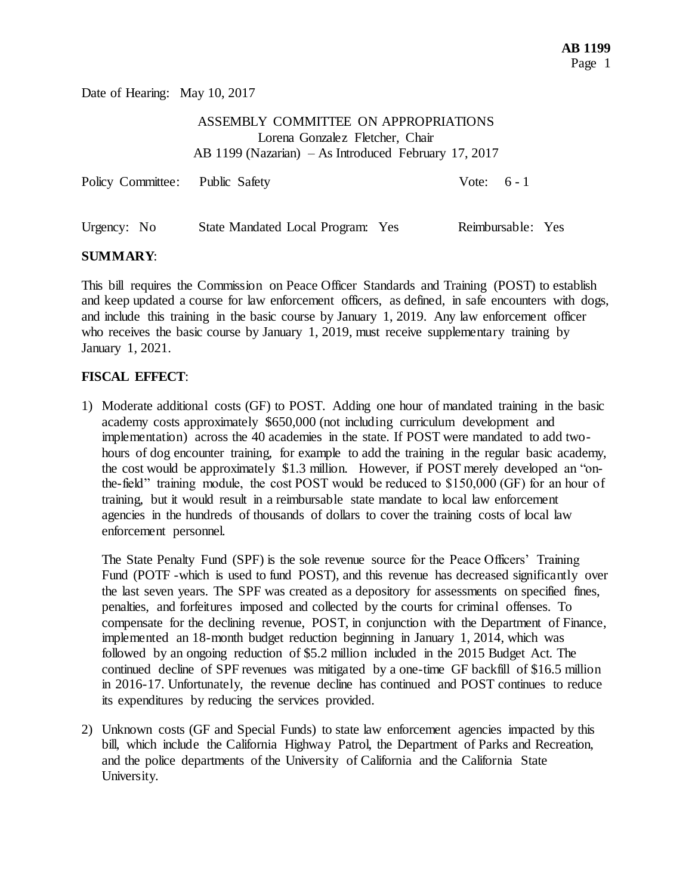Date of Hearing: May 10, 2017

| ASSEMBLY COMMITTEE ON APPROPRIATIONS                 |
|------------------------------------------------------|
| Lorena Gonzalez Fletcher, Chair                      |
| AB 1199 (Nazarian) – As Introduced February 17, 2017 |

| Policy Committee: Public Safety |                                   | Vote: $6 - 1$     |  |
|---------------------------------|-----------------------------------|-------------------|--|
| Urgency: No                     | State Mandated Local Program: Yes | Reimbursable: Yes |  |

## **SUMMARY**:

This bill requires the Commission on Peace Officer Standards and Training (POST) to establish and keep updated a course for law enforcement officers, as defined, in safe encounters with dogs, and include this training in the basic course by January 1, 2019. Any law enforcement officer who receives the basic course by January 1, 2019, must receive supplementary training by January 1, 2021.

## **FISCAL EFFECT**:

1) Moderate additional costs (GF) to POST. Adding one hour of mandated training in the basic academy costs approximately \$650,000 (not including curriculum development and implementation) across the 40 academies in the state. If POST were mandated to add twohours of dog encounter training, for example to add the training in the regular basic academy, the cost would be approximately \$1.3 million. However, if POST merely developed an "onthe-field" training module, the cost POST would be reduced to \$150,000 (GF) for an hour of training, but it would result in a reimbursable state mandate to local law enforcement agencies in the hundreds of thousands of dollars to cover the training costs of local law enforcement personnel.

The State Penalty Fund (SPF) is the sole revenue source for the Peace Officers' Training Fund (POTF -which is used to fund POST), and this revenue has decreased significantly over the last seven years. The SPF was created as a depository for assessments on specified fines, penalties, and forfeitures imposed and collected by the courts for criminal offenses. To compensate for the declining revenue, POST, in conjunction with the Department of Finance, implemented an 18-month budget reduction beginning in January 1, 2014, which was followed by an ongoing reduction of \$5.2 million included in the 2015 Budget Act. The continued decline of SPF revenues was mitigated by a one-time GF backfill of \$16.5 million in 2016-17. Unfortunately, the revenue decline has continued and POST continues to reduce its expenditures by reducing the services provided.

2) Unknown costs (GF and Special Funds) to state law enforcement agencies impacted by this bill, which include the California Highway Patrol, the Department of Parks and Recreation, and the police departments of the University of California and the California State University.